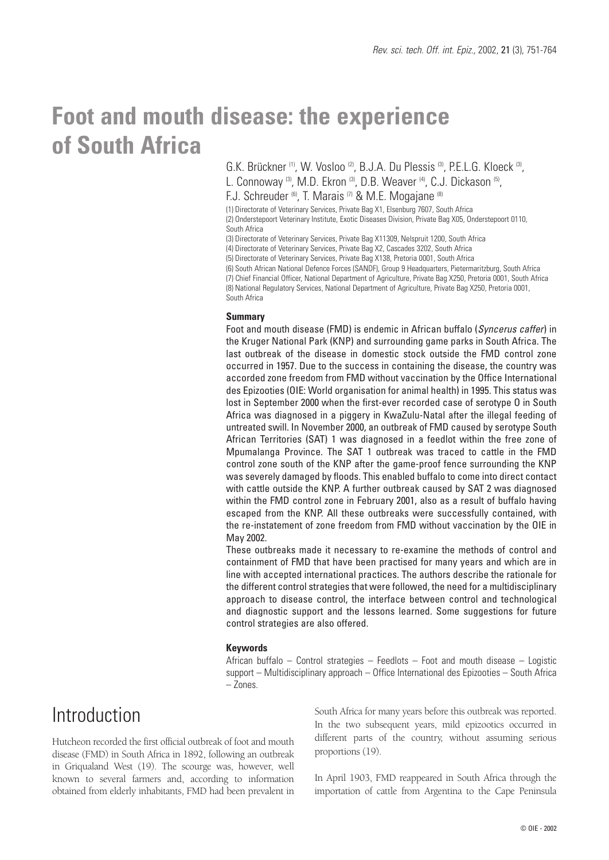# **Foot and mouth disease: the experience of South Africa**

G.K. Brückner <sup>(1)</sup>, W. Vosloo<sup>(2)</sup>, B.J.A. Du Plessis<sup>(3)</sup>, P.E.L.G. Kloeck<sup>(3)</sup>,

L. Connoway (3), M.D. Ekron (3), D.B. Weaver (4), C.J. Dickason (5),

F.J. Schreuder (6), T. Marais (7) & M.E. Mogajane (8)

(1) Directorate of Veterinary Services, Private Bag X1, Elsenburg 7607, South Africa (2) Onderstepoort Veterinary Institute, Exotic Diseases Division, Private Bag X05, Onderstepoort 0110, South Africa

(3) Directorate of Veterinary Services, Private Bag X11309, Nelspruit 1200, South Africa

(4) Directorate of Veterinary Services, Private Bag X2, Cascades 3202, South Africa

(5) Directorate of Veterinary Services, Private Bag X138, Pretoria 0001, South Africa

(6) South African National Defence Forces (SANDF), Group 9 Headquarters, Pietermaritzburg, South Africa

(7) Chief Financial Officer, National Department of Agriculture, Private Bag X250, Pretoria 0001, South Africa (8) National Regulatory Services, National Department of Agriculture, Private Bag X250, Pretoria 0001, South Africa

#### **Summary**

Foot and mouth disease (FMD) is endemic in African buffalo (*Syncerus caffer*) in the Kruger National Park (KNP) and surrounding game parks in South Africa. The last outbreak of the disease in domestic stock outside the FMD control zone occurred in 1957. Due to the success in containing the disease, the country was accorded zone freedom from FMD without vaccination by the Office International des Epizooties (OIE: World organisation for animal health) in 1995. This status was lost in September 2000 when the first-ever recorded case of serotype O in South Africa was diagnosed in a piggery in KwaZulu-Natal after the illegal feeding of untreated swill. In November 2000, an outbreak of FMD caused by serotype South African Territories (SAT) 1 was diagnosed in a feedlot within the free zone of Mpumalanga Province. The SAT 1 outbreak was traced to cattle in the FMD control zone south of the KNP after the game-proof fence surrounding the KNP was severely damaged by floods. This enabled buffalo to come into direct contact with cattle outside the KNP. A further outbreak caused by SAT 2 was diagnosed within the FMD control zone in February 2001, also as a result of buffalo having escaped from the KNP. All these outbreaks were successfully contained, with the re-instatement of zone freedom from FMD without vaccination by the OIE in May 2002.

These outbreaks made it necessary to re-examine the methods of control and containment of FMD that have been practised for many years and which are in line with accepted international practices. The authors describe the rationale for the different control strategies that were followed, the need for a multidisciplinary approach to disease control, the interface between control and technological and diagnostic support and the lessons learned. Some suggestions for future control strategies are also offered.

### **Keywords**

African buffalo – Control strategies – Feedlots – Foot and mouth disease – Logistic support – Multidisciplinary approach – Office International des Epizooties – South Africa – Zones.

# Introduction

Hutcheon recorded the first official outbreak of foot and mouth disease (FMD) in South Africa in 1892, following an outbreak in Griqualand West (19). The scourge was, however, well known to several farmers and, according to information obtained from elderly inhabitants, FMD had been prevalent in

South Africa for many years before this outbreak was reported. In the two subsequent years, mild epizootics occurred in different parts of the country, without assuming serious proportions (19).

In April 1903, FMD reappeared in South Africa through the importation of cattle from Argentina to the Cape Peninsula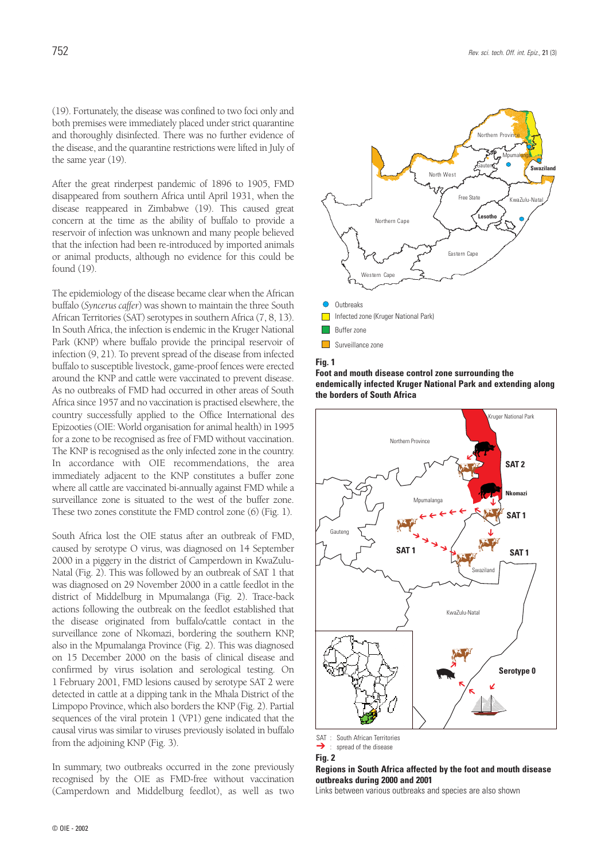(19). Fortunately, the disease was confined to two foci only and both premises were immediately placed under strict quarantine and thoroughly disinfected. There was no further evidence of the disease, and the quarantine restrictions were lifted in July of the same year (19).

After the great rinderpest pandemic of 1896 to 1905, FMD disappeared from southern Africa until April 1931, when the disease reappeared in Zimbabwe (19). This caused great concern at the time as the ability of buffalo to provide a reservoir of infection was unknown and many people believed that the infection had been re-introduced by imported animals or animal products, although no evidence for this could be found (19).

The epidemiology of the disease became clear when the African buffalo (*Syncerus caffer*) was shown to maintain the three South African Territories (SAT) serotypes in southern Africa (7, 8, 13). In South Africa, the infection is endemic in the Kruger National Park (KNP) where buffalo provide the principal reservoir of infection (9, 21). To prevent spread of the disease from infected buffalo to susceptible livestock, game-proof fences were erected around the KNP and cattle were vaccinated to prevent disease. As no outbreaks of FMD had occurred in other areas of South Africa since 1957 and no vaccination is practised elsewhere, the country successfully applied to the Office International des Epizooties (OIE: World organisation for animal health) in 1995 for a zone to be recognised as free of FMD without vaccination. The KNP is recognised as the only infected zone in the country. In accordance with OIE recommendations, the area immediately adjacent to the KNP constitutes a buffer zone where all cattle are vaccinated bi-annually against FMD while a surveillance zone is situated to the west of the buffer zone. These two zones constitute the FMD control zone (6) (Fig. 1).

South Africa lost the OIE status after an outbreak of FMD, caused by serotype O virus, was diagnosed on 14 September 2000 in a piggery in the district of Camperdown in KwaZulu-Natal (Fig. 2). This was followed by an outbreak of SAT 1 that was diagnosed on 29 November 2000 in a cattle feedlot in the district of Middelburg in Mpumalanga (Fig. 2). Trace-back actions following the outbreak on the feedlot established that the disease originated from buffalo/cattle contact in the surveillance zone of Nkomazi, bordering the southern KNP, also in the Mpumalanga Province (Fig. 2). This was diagnosed on 15 December 2000 on the basis of clinical disease and confirmed by virus isolation and serological testing. On 1 February 2001, FMD lesions caused by serotype SAT 2 were detected in cattle at a dipping tank in the Mhala District of the Limpopo Province, which also borders the KNP (Fig. 2). Partial sequences of the viral protein 1 (VP1) gene indicated that the causal virus was similar to viruses previously isolated in buffalo from the adjoining KNP (Fig. 3).

In summary, two outbreaks occurred in the zone previously recognised by the OIE as FMD-free without vaccination (Camperdown and Middelburg feedlot), as well as two



**Fig. 1**





➔ : spread of the disease

**Fig. 2**

**Regions in South Africa affected by the foot and mouth disease outbreaks during 2000 and 2001**

Links between various outbreaks and species are also shown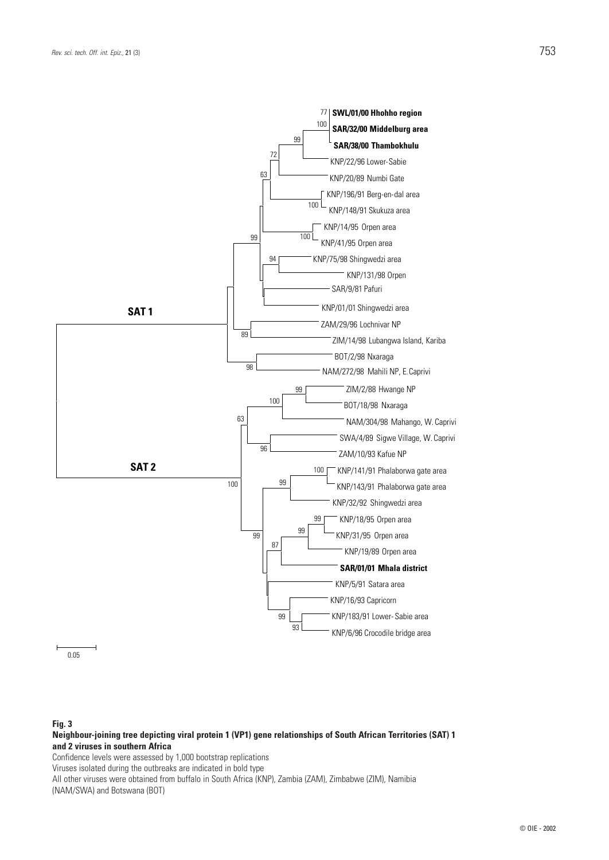

### 0.05

#### **Fig. 3**

**Neighbour-joining tree depicting viral protein 1 (VP1) gene relationships of South African Territories (SAT) 1 and 2 viruses in southern Africa**

Confidence levels were assessed by 1,000 bootstrap replications

Viruses isolated during the outbreaks are indicated in bold type

All other viruses were obtained from buffalo in South Africa (KNP), Zambia (ZAM), Zimbabwe (ZIM), Namibia (NAM/SWA) and Botswana (BOT)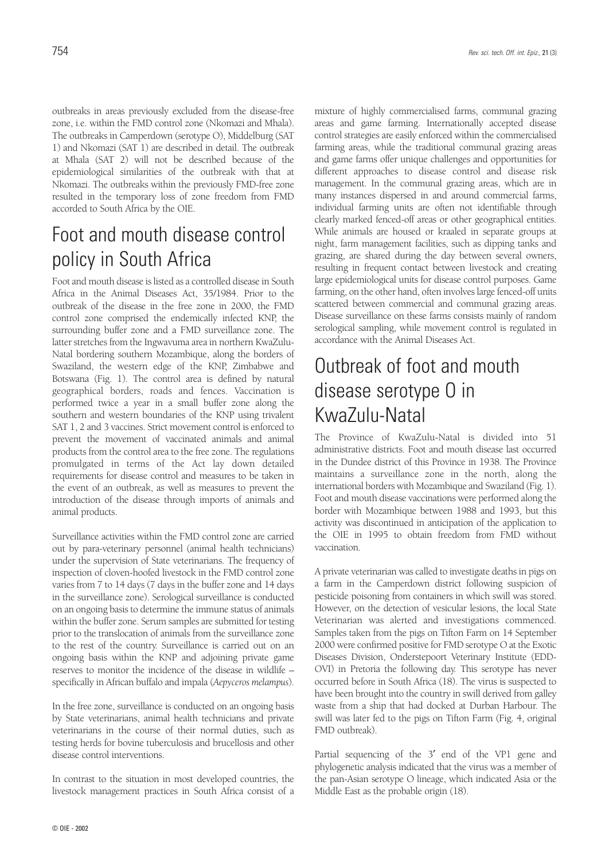outbreaks in areas previously excluded from the disease-free zone, i.e. within the FMD control zone (Nkomazi and Mhala). The outbreaks in Camperdown (serotype O), Middelburg (SAT 1) and Nkomazi (SAT 1) are described in detail. The outbreak at Mhala (SAT 2) will not be described because of the epidemiological similarities of the outbreak with that at Nkomazi. The outbreaks within the previously FMD-free zone resulted in the temporary loss of zone freedom from FMD accorded to South Africa by the OIE.

# Foot and mouth disease control policy in South Africa

Foot and mouth disease is listed as a controlled disease in South Africa in the Animal Diseases Act, 35/1984. Prior to the outbreak of the disease in the free zone in 2000, the FMD control zone comprised the endemically infected KNP, the surrounding buffer zone and a FMD surveillance zone. The latter stretches from the Ingwavuma area in northern KwaZulu-Natal bordering southern Mozambique, along the borders of Swaziland, the western edge of the KNP, Zimbabwe and Botswana (Fig. 1). The control area is defined by natural geographical borders, roads and fences. Vaccination is performed twice a year in a small buffer zone along the southern and western boundaries of the KNP using trivalent SAT 1, 2 and 3 vaccines. Strict movement control is enforced to prevent the movement of vaccinated animals and animal products from the control area to the free zone. The regulations promulgated in terms of the Act lay down detailed requirements for disease control and measures to be taken in the event of an outbreak, as well as measures to prevent the introduction of the disease through imports of animals and animal products.

Surveillance activities within the FMD control zone are carried out by para-veterinary personnel (animal health technicians) under the supervision of State veterinarians. The frequency of inspection of cloven-hoofed livestock in the FMD control zone varies from 7 to 14 days (7 days in the buffer zone and 14 days in the surveillance zone). Serological surveillance is conducted on an ongoing basis to determine the immune status of animals within the buffer zone. Serum samples are submitted for testing prior to the translocation of animals from the surveillance zone to the rest of the country. Surveillance is carried out on an ongoing basis within the KNP and adjoining private game reserves to monitor the incidence of the disease in wildlife – specifically in African buffalo and impala (*Aepyceros melampus*).

In the free zone, surveillance is conducted on an ongoing basis by State veterinarians, animal health technicians and private veterinarians in the course of their normal duties, such as testing herds for bovine tuberculosis and brucellosis and other disease control interventions.

In contrast to the situation in most developed countries, the livestock management practices in South Africa consist of a

© OIE - 2002

mixture of highly commercialised farms, communal grazing areas and game farming. Internationally accepted disease control strategies are easily enforced within the commercialised farming areas, while the traditional communal grazing areas and game farms offer unique challenges and opportunities for different approaches to disease control and disease risk management. In the communal grazing areas, which are in many instances dispersed in and around commercial farms, individual farming units are often not identifiable through clearly marked fenced-off areas or other geographical entities. While animals are housed or kraaled in separate groups at night, farm management facilities, such as dipping tanks and grazing, are shared during the day between several owners, resulting in frequent contact between livestock and creating large epidemiological units for disease control purposes. Game farming, on the other hand, often involves large fenced-off units scattered between commercial and communal grazing areas. Disease surveillance on these farms consists mainly of random serological sampling, while movement control is regulated in accordance with the Animal Diseases Act.

# Outbreak of foot and mouth disease serotype O in KwaZulu-Natal

The Province of KwaZulu-Natal is divided into 51 administrative districts. Foot and mouth disease last occurred in the Dundee district of this Province in 1938. The Province maintains a surveillance zone in the north, along the international borders with Mozambique and Swaziland (Fig. 1). Foot and mouth disease vaccinations were performed along the border with Mozambique between 1988 and 1993, but this activity was discontinued in anticipation of the application to the OIE in 1995 to obtain freedom from FMD without vaccination.

A private veterinarian was called to investigate deaths in pigs on a farm in the Camperdown district following suspicion of pesticide poisoning from containers in which swill was stored. However, on the detection of vesicular lesions, the local State Veterinarian was alerted and investigations commenced. Samples taken from the pigs on Tifton Farm on 14 September 2000 were confirmed positive for FMD serotype O at the Exotic Diseases Division, Onderstepoort Veterinary Institute (EDD-OVI) in Pretoria the following day. This serotype has never occurred before in South Africa (18). The virus is suspected to have been brought into the country in swill derived from galley waste from a ship that had docked at Durban Harbour. The swill was later fed to the pigs on Tifton Farm (Fig. 4, original FMD outbreak).

Partial sequencing of the 3′ end of the VP1 gene and phylogenetic analysis indicated that the virus was a member of the pan-Asian serotype O lineage, which indicated Asia or the Middle East as the probable origin (18).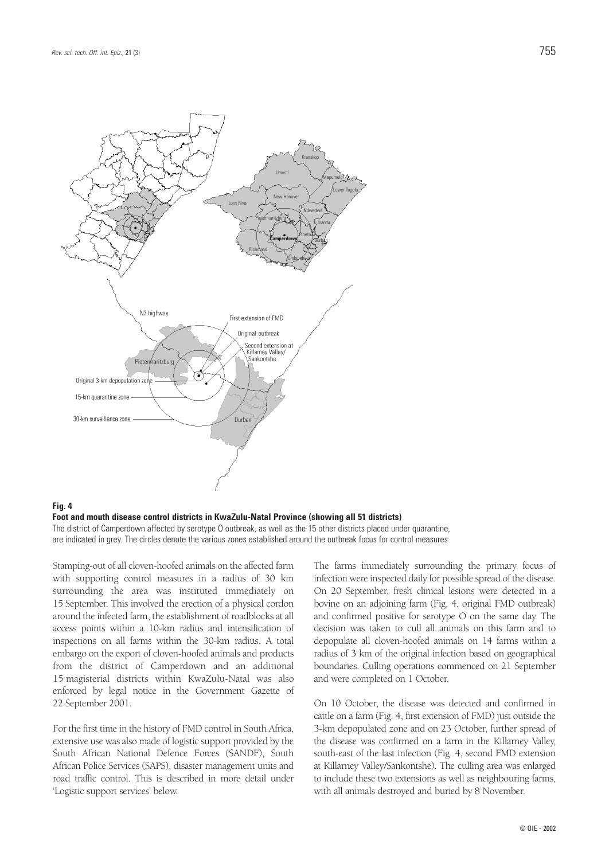

### **Fig. 4**

**Foot and mouth disease control districts in KwaZulu-Natal Province (showing all 51 districts)** The district of Camperdown affected by serotype O outbreak, as well as the 15 other districts placed under quarantine, are indicated in grey. The circles denote the various zones established around the outbreak focus for control measures

Stamping-out of all cloven-hoofed animals on the affected farm with supporting control measures in a radius of 30 km surrounding the area was instituted immediately on 15 September. This involved the erection of a physical cordon around the infected farm, the establishment of roadblocks at all access points within a 10-km radius and intensification of inspections on all farms within the 30-km radius. A total embargo on the export of cloven-hoofed animals and products from the district of Camperdown and an additional 15 magisterial districts within KwaZulu-Natal was also enforced by legal notice in the Government Gazette of 22 September 2001.

For the first time in the history of FMD control in South Africa, extensive use was also made of logistic support provided by the South African National Defence Forces (SANDF), South African Police Services (SAPS), disaster management units and road traffic control. This is described in more detail under 'Logistic support services' below.

The farms immediately surrounding the primary focus of infection were inspected daily for possible spread of the disease. On 20 September, fresh clinical lesions were detected in a bovine on an adjoining farm (Fig. 4, original FMD outbreak) and confirmed positive for serotype O on the same day. The decision was taken to cull all animals on this farm and to depopulate all cloven-hoofed animals on 14 farms within a radius of 3 km of the original infection based on geographical boundaries. Culling operations commenced on 21 September and were completed on 1 October.

On 10 October, the disease was detected and confirmed in cattle on a farm (Fig. 4, first extension of FMD) just outside the 3-km depopulated zone and on 23 October, further spread of the disease was confirmed on a farm in the Killarney Valley, south-east of the last infection (Fig. 4, second FMD extension at Killarney Valley/Sankontshe). The culling area was enlarged to include these two extensions as well as neighbouring farms, with all animals destroyed and buried by 8 November.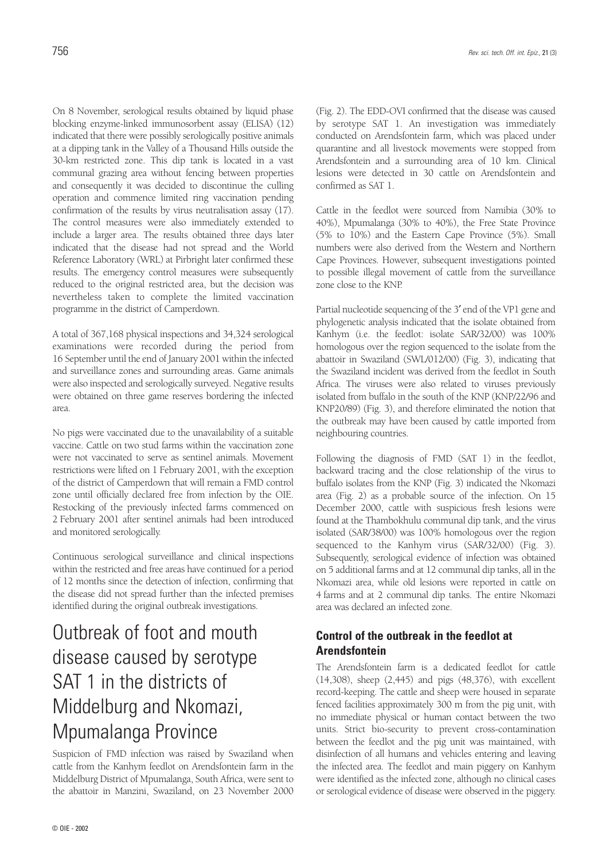On 8 November, serological results obtained by liquid phase blocking enzyme-linked immunosorbent assay (ELISA) (12) indicated that there were possibly serologically positive animals at a dipping tank in the Valley of a Thousand Hills outside the 30-km restricted zone. This dip tank is located in a vast communal grazing area without fencing between properties and consequently it was decided to discontinue the culling operation and commence limited ring vaccination pending confirmation of the results by virus neutralisation assay (17). The control measures were also immediately extended to include a larger area. The results obtained three days later indicated that the disease had not spread and the World Reference Laboratory (WRL) at Pirbright later confirmed these results. The emergency control measures were subsequently reduced to the original restricted area, but the decision was nevertheless taken to complete the limited vaccination programme in the district of Camperdown.

A total of 367,168 physical inspections and 34,324 serological examinations were recorded during the period from 16 September until the end of January 2001 within the infected and surveillance zones and surrounding areas. Game animals were also inspected and serologically surveyed. Negative results were obtained on three game reserves bordering the infected area.

No pigs were vaccinated due to the unavailability of a suitable vaccine. Cattle on two stud farms within the vaccination zone were not vaccinated to serve as sentinel animals. Movement restrictions were lifted on 1 February 2001, with the exception of the district of Camperdown that will remain a FMD control zone until officially declared free from infection by the OIE. Restocking of the previously infected farms commenced on 2 February 2001 after sentinel animals had been introduced and monitored serologically.

Continuous serological surveillance and clinical inspections within the restricted and free areas have continued for a period of 12 months since the detection of infection, confirming that the disease did not spread further than the infected premises identified during the original outbreak investigations.

# Outbreak of foot and mouth disease caused by serotype SAT 1 in the districts of Middelburg and Nkomazi, Mpumalanga Province

Suspicion of FMD infection was raised by Swaziland when cattle from the Kanhym feedlot on Arendsfontein farm in the Middelburg District of Mpumalanga, South Africa, were sent to the abattoir in Manzini, Swaziland, on 23 November 2000

(Fig. 2). The EDD-OVI confirmed that the disease was caused by serotype SAT 1. An investigation was immediately conducted on Arendsfontein farm, which was placed under quarantine and all livestock movements were stopped from Arendsfontein and a surrounding area of 10 km. Clinical lesions were detected in 30 cattle on Arendsfontein and confirmed as SAT 1.

Cattle in the feedlot were sourced from Namibia (30% to 40%), Mpumalanga (30% to 40%), the Free State Province (5% to 10%) and the Eastern Cape Province (5%). Small numbers were also derived from the Western and Northern Cape Provinces. However, subsequent investigations pointed to possible illegal movement of cattle from the surveillance zone close to the KNP.

Partial nucleotide sequencing of the 3′ end of the VP1 gene and phylogenetic analysis indicated that the isolate obtained from Kanhym (i.e. the feedlot: isolate SAR/32/00) was 100% homologous over the region sequenced to the isolate from the abattoir in Swaziland (SWL/012/00) (Fig. 3), indicating that the Swaziland incident was derived from the feedlot in South Africa. The viruses were also related to viruses previously isolated from buffalo in the south of the KNP (KNP/22/96 and KNP20/89) (Fig. 3), and therefore eliminated the notion that the outbreak may have been caused by cattle imported from neighbouring countries.

Following the diagnosis of FMD (SAT 1) in the feedlot, backward tracing and the close relationship of the virus to buffalo isolates from the KNP (Fig. 3) indicated the Nkomazi area (Fig. 2) as a probable source of the infection. On 15 December 2000, cattle with suspicious fresh lesions were found at the Thambokhulu communal dip tank, and the virus isolated (SAR/38/00) was 100% homologous over the region sequenced to the Kanhym virus (SAR/32/00) (Fig. 3). Subsequently, serological evidence of infection was obtained on 5 additional farms and at 12 communal dip tanks, all in the Nkomazi area, while old lesions were reported in cattle on 4 farms and at 2 communal dip tanks. The entire Nkomazi area was declared an infected zone.

## **Control of the outbreak in the feedlot at Arendsfontein**

The Arendsfontein farm is a dedicated feedlot for cattle (14,308), sheep (2,445) and pigs (48,376), with excellent record-keeping. The cattle and sheep were housed in separate fenced facilities approximately 300 m from the pig unit, with no immediate physical or human contact between the two units. Strict bio-security to prevent cross-contamination between the feedlot and the pig unit was maintained, with disinfection of all humans and vehicles entering and leaving the infected area. The feedlot and main piggery on Kanhym were identified as the infected zone, although no clinical cases or serological evidence of disease were observed in the piggery.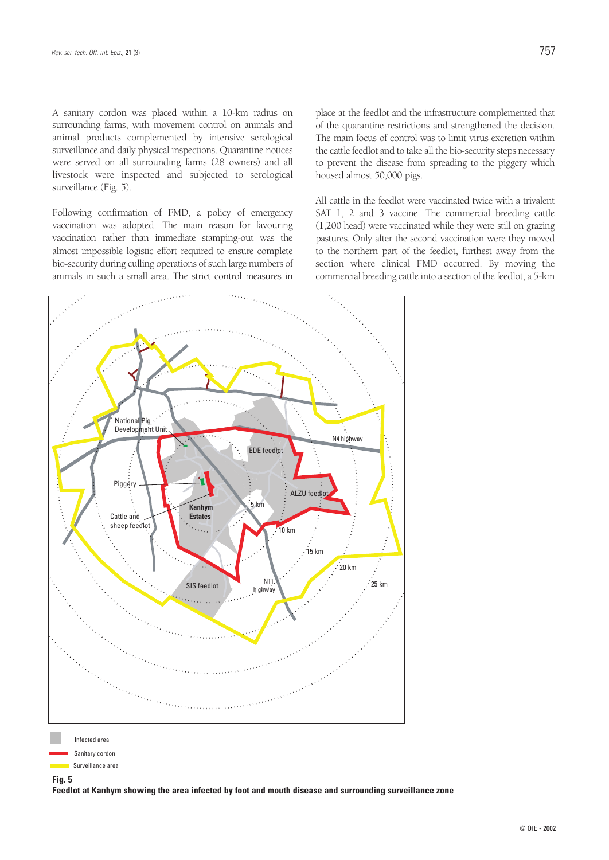A sanitary cordon was placed within a 10-km radius on surrounding farms, with movement control on animals and animal products complemented by intensive serological surveillance and daily physical inspections. Quarantine notices were served on all surrounding farms (28 owners) and all livestock were inspected and subjected to serological surveillance (Fig. 5).

Following confirmation of FMD, a policy of emergency vaccination was adopted. The main reason for favouring vaccination rather than immediate stamping-out was the almost impossible logistic effort required to ensure complete bio-security during culling operations of such large numbers of animals in such a small area. The strict control measures in place at the feedlot and the infrastructure complemented that of the quarantine restrictions and strengthened the decision. The main focus of control was to limit virus excretion within the cattle feedlot and to take all the bio-security steps necessary to prevent the disease from spreading to the piggery which housed almost 50,000 pigs.

All cattle in the feedlot were vaccinated twice with a trivalent SAT 1, 2 and 3 vaccine. The commercial breeding cattle (1,200 head) were vaccinated while they were still on grazing pastures. Only after the second vaccination were they moved to the northern part of the feedlot, furthest away from the section where clinical FMD occurred. By moving the commercial breeding cattle into a section of the feedlot, a 5-km



Sanitary cordon Surveillance area

## **Fig. 5**

**Feedlot at Kanhym showing the area infected by foot and mouth disease and surrounding surveillance zone**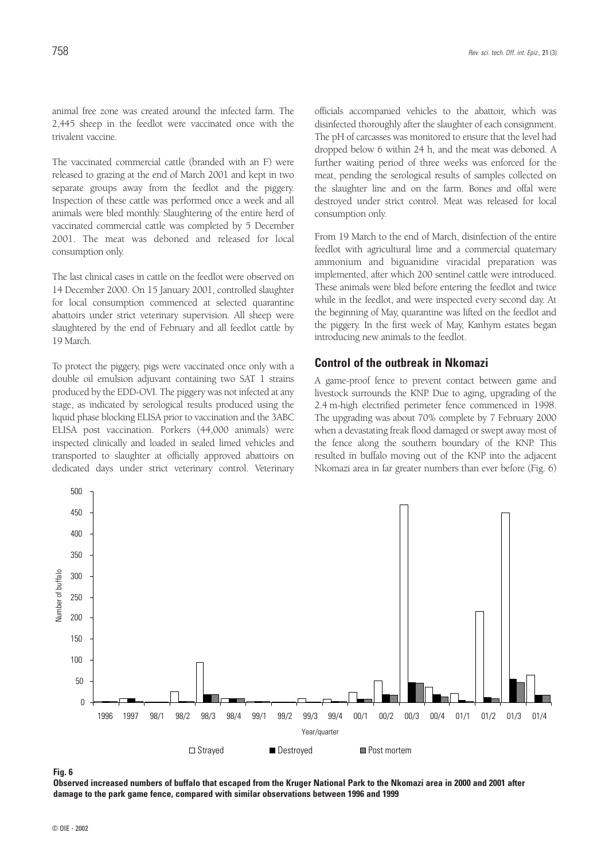The vaccinated commercial cattle (branded with an F) were released to grazing at the end of March 2001 and kept in two separate groups away from the feedlot and the piggery. Inspection of these cattle was performed once a week and all animals were bled monthly. Slaughtering of the entire herd of vaccinated commercial cattle was completed by 5 December 2001. The meat was deboned and released for local consumption only.

The last clinical cases in cattle on the feedlot were observed on 14 December 2000. On 15 January 2001, controlled slaughter for local consumption commenced at selected quarantine abattoirs under strict veterinary supervision. All sheep were slaughtered by the end of February and all feedlot cattle by 19 March.

To protect the piggery, pigs were vaccinated once only with a double oil emulsion adjuvant containing two SAT 1 strains produced by the EDD-OVI. The piggery was not infected at any stage, as indicated by serological results produced using the liquid phase blocking ELISA prior to vaccination and the 3ABC ELISA post vaccination. Porkers (44,000 animals) were inspected clinically and loaded in sealed limed vehicles and transported to slaughter at officially approved abattoirs on dedicated days under strict veterinary control. Veterinary officials accompanied vehicles to the abattoir, which was disinfected thoroughly after the slaughter of each consignment. The pH of carcasses was monitored to ensure that the level had dropped below 6 within 24 h, and the meat was deboned. A further waiting period of three weeks was enforced for the meat, pending the serological results of samples collected on the slaughter line and on the farm. Bones and offal were destroyed under strict control. Meat was released for local consumption only.

From 19 March to the end of March, disinfection of the entire feedlot with agricultural lime and a commercial quaternary ammonium and biguanidine viracidal preparation was implemented, after which 200 sentinel cattle were introduced. These animals were bled before entering the feedlot and twice while in the feedlot, and were inspected every second day. At the beginning of May, quarantine was lifted on the feedlot and the piggery. In the first week of May, Kanhym estates began introducing new animals to the feedlot.

### **Control of the outbreak in Nkomazi**

A game-proof fence to prevent contact between game and livestock surrounds the KNP. Due to aging, upgrading of the 2.4 m-high electrified perimeter fence commenced in 1998. The upgrading was about 70% complete by 7 February 2000 when a devastating freak flood damaged or swept away most of the fence along the southern boundary of the KNP. This resulted in buffalo moving out of the KNP into the adjacent Nkomazi area in far greater numbers than ever before (Fig. 6)



**Fig. 6**

**Observed increased numbers of buffalo that escaped from the Kruger National Park to the Nkomazi area in 2000 and 2001 after damage to the park game fence, compared with similar observations between 1996 and 1999**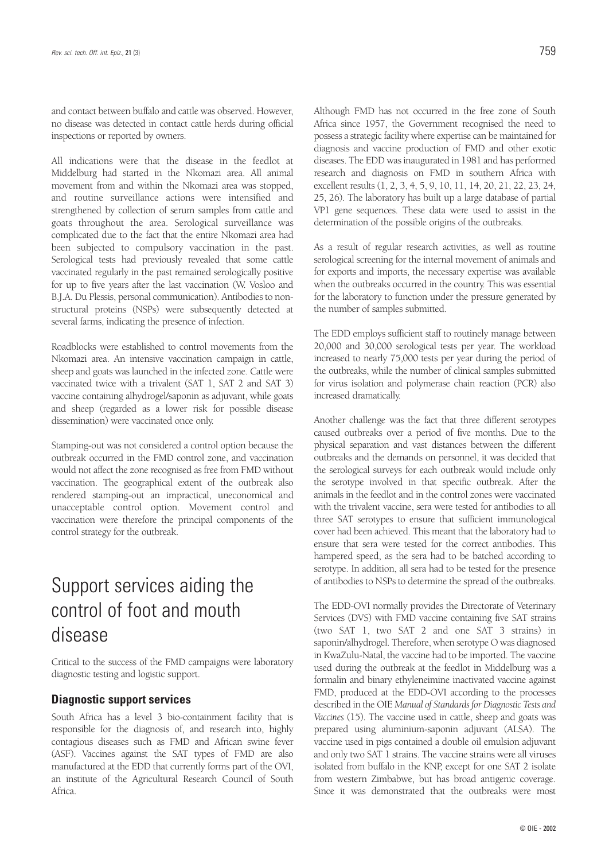and contact between buffalo and cattle was observed. However, no disease was detected in contact cattle herds during official inspections or reported by owners.

All indications were that the disease in the feedlot at Middelburg had started in the Nkomazi area. All animal movement from and within the Nkomazi area was stopped, and routine surveillance actions were intensified and strengthened by collection of serum samples from cattle and goats throughout the area. Serological surveillance was complicated due to the fact that the entire Nkomazi area had been subjected to compulsory vaccination in the past. Serological tests had previously revealed that some cattle vaccinated regularly in the past remained serologically positive for up to five years after the last vaccination (W. Vosloo and B.J.A. Du Plessis, personal communication). Antibodies to nonstructural proteins (NSPs) were subsequently detected at several farms, indicating the presence of infection.

Roadblocks were established to control movements from the Nkomazi area. An intensive vaccination campaign in cattle, sheep and goats was launched in the infected zone. Cattle were vaccinated twice with a trivalent (SAT 1, SAT 2 and SAT 3) vaccine containing alhydrogel/saponin as adjuvant, while goats and sheep (regarded as a lower risk for possible disease dissemination) were vaccinated once only.

Stamping-out was not considered a control option because the outbreak occurred in the FMD control zone, and vaccination would not affect the zone recognised as free from FMD without vaccination. The geographical extent of the outbreak also rendered stamping-out an impractical, uneconomical and unacceptable control option. Movement control and vaccination were therefore the principal components of the control strategy for the outbreak.

# Support services aiding the control of foot and mouth disease

Critical to the success of the FMD campaigns were laboratory diagnostic testing and logistic support.

### **Diagnostic support services**

South Africa has a level 3 bio-containment facility that is responsible for the diagnosis of, and research into, highly contagious diseases such as FMD and African swine fever (ASF). Vaccines against the SAT types of FMD are also manufactured at the EDD that currently forms part of the OVI, an institute of the Agricultural Research Council of South Africa.

Although FMD has not occurred in the free zone of South Africa since 1957, the Government recognised the need to possess a strategic facility where expertise can be maintained for diagnosis and vaccine production of FMD and other exotic diseases. The EDD was inaugurated in 1981 and has performed research and diagnosis on FMD in southern Africa with excellent results (1, 2, 3, 4, 5, 9, 10, 11, 14, 20, 21, 22, 23, 24, 25, 26). The laboratory has built up a large database of partial VP1 gene sequences. These data were used to assist in the determination of the possible origins of the outbreaks.

As a result of regular research activities, as well as routine serological screening for the internal movement of animals and for exports and imports, the necessary expertise was available when the outbreaks occurred in the country. This was essential for the laboratory to function under the pressure generated by the number of samples submitted.

The EDD employs sufficient staff to routinely manage between 20,000 and 30,000 serological tests per year. The workload increased to nearly 75,000 tests per year during the period of the outbreaks, while the number of clinical samples submitted for virus isolation and polymerase chain reaction (PCR) also increased dramatically.

Another challenge was the fact that three different serotypes caused outbreaks over a period of five months. Due to the physical separation and vast distances between the different outbreaks and the demands on personnel, it was decided that the serological surveys for each outbreak would include only the serotype involved in that specific outbreak. After the animals in the feedlot and in the control zones were vaccinated with the trivalent vaccine, sera were tested for antibodies to all three SAT serotypes to ensure that sufficient immunological cover had been achieved. This meant that the laboratory had to ensure that sera were tested for the correct antibodies. This hampered speed, as the sera had to be batched according to serotype. In addition, all sera had to be tested for the presence of antibodies to NSPs to determine the spread of the outbreaks.

The EDD-OVI normally provides the Directorate of Veterinary Services (DVS) with FMD vaccine containing five SAT strains (two SAT 1, two SAT 2 and one SAT 3 strains) in saponin/alhydrogel. Therefore, when serotype O was diagnosed in KwaZulu-Natal, the vaccine had to be imported. The vaccine used during the outbreak at the feedlot in Middelburg was a formalin and binary ethyleneimine inactivated vaccine against FMD, produced at the EDD-OVI according to the processes described in the OIE *Manual of Standards for Diagnostic Tests and Vaccines* (15). The vaccine used in cattle, sheep and goats was prepared using aluminium-saponin adjuvant (ALSA). The vaccine used in pigs contained a double oil emulsion adjuvant and only two SAT 1 strains. The vaccine strains were all viruses isolated from buffalo in the KNP, except for one SAT 2 isolate from western Zimbabwe, but has broad antigenic coverage. Since it was demonstrated that the outbreaks were most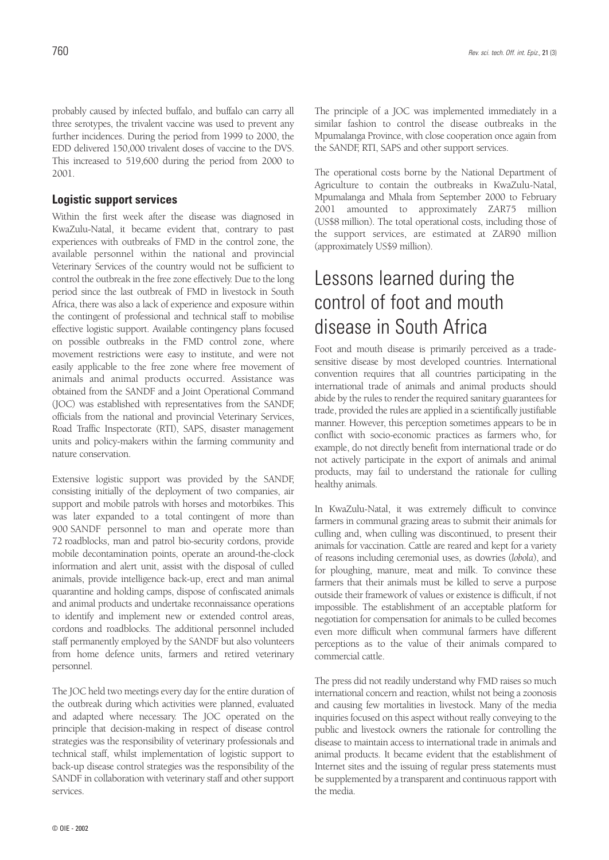probably caused by infected buffalo, and buffalo can carry all three serotypes, the trivalent vaccine was used to prevent any further incidences. During the period from 1999 to 2000, the EDD delivered 150,000 trivalent doses of vaccine to the DVS. This increased to 519,600 during the period from 2000 to 2001.

### **Logistic support services**

Within the first week after the disease was diagnosed in KwaZulu-Natal, it became evident that, contrary to past experiences with outbreaks of FMD in the control zone, the available personnel within the national and provincial Veterinary Services of the country would not be sufficient to control the outbreak in the free zone effectively. Due to the long period since the last outbreak of FMD in livestock in South Africa, there was also a lack of experience and exposure within the contingent of professional and technical staff to mobilise effective logistic support. Available contingency plans focused on possible outbreaks in the FMD control zone, where movement restrictions were easy to institute, and were not easily applicable to the free zone where free movement of animals and animal products occurred. Assistance was obtained from the SANDF and a Joint Operational Command (JOC) was established with representatives from the SANDF, officials from the national and provincial Veterinary Services, Road Traffic Inspectorate (RTI), SAPS, disaster management units and policy-makers within the farming community and nature conservation.

Extensive logistic support was provided by the SANDF, consisting initially of the deployment of two companies, air support and mobile patrols with horses and motorbikes. This was later expanded to a total contingent of more than 900 SANDF personnel to man and operate more than 72 roadblocks, man and patrol bio-security cordons, provide mobile decontamination points, operate an around-the-clock information and alert unit, assist with the disposal of culled animals, provide intelligence back-up, erect and man animal quarantine and holding camps, dispose of confiscated animals and animal products and undertake reconnaissance operations to identify and implement new or extended control areas, cordons and roadblocks. The additional personnel included staff permanently employed by the SANDF but also volunteers from home defence units, farmers and retired veterinary personnel.

The JOC held two meetings every day for the entire duration of the outbreak during which activities were planned, evaluated and adapted where necessary. The JOC operated on the principle that decision-making in respect of disease control strategies was the responsibility of veterinary professionals and technical staff, whilst implementation of logistic support to back-up disease control strategies was the responsibility of the SANDF in collaboration with veterinary staff and other support services.

The principle of a JOC was implemented immediately in a similar fashion to control the disease outbreaks in the Mpumalanga Province, with close cooperation once again from the SANDF, RTI, SAPS and other support services.

The operational costs borne by the National Department of Agriculture to contain the outbreaks in KwaZulu-Natal, Mpumalanga and Mhala from September 2000 to February 2001 amounted to approximately ZAR75 million (US\$8 million). The total operational costs, including those of the support services, are estimated at ZAR90 million (approximately US\$9 million).

# Lessons learned during the control of foot and mouth disease in South Africa

Foot and mouth disease is primarily perceived as a tradesensitive disease by most developed countries. International convention requires that all countries participating in the international trade of animals and animal products should abide by the rules to render the required sanitary guarantees for trade, provided the rules are applied in a scientifically justifiable manner. However, this perception sometimes appears to be in conflict with socio-economic practices as farmers who, for example, do not directly benefit from international trade or do not actively participate in the export of animals and animal products, may fail to understand the rationale for culling healthy animals.

In KwaZulu-Natal, it was extremely difficult to convince farmers in communal grazing areas to submit their animals for culling and, when culling was discontinued, to present their animals for vaccination. Cattle are reared and kept for a variety of reasons including ceremonial uses, as dowries (*lobola*), and for ploughing, manure, meat and milk. To convince these farmers that their animals must be killed to serve a purpose outside their framework of values or existence is difficult, if not impossible. The establishment of an acceptable platform for negotiation for compensation for animals to be culled becomes even more difficult when communal farmers have different perceptions as to the value of their animals compared to commercial cattle.

The press did not readily understand why FMD raises so much international concern and reaction, whilst not being a zoonosis and causing few mortalities in livestock. Many of the media inquiries focused on this aspect without really conveying to the public and livestock owners the rationale for controlling the disease to maintain access to international trade in animals and animal products. It became evident that the establishment of Internet sites and the issuing of regular press statements must be supplemented by a transparent and continuous rapport with the media.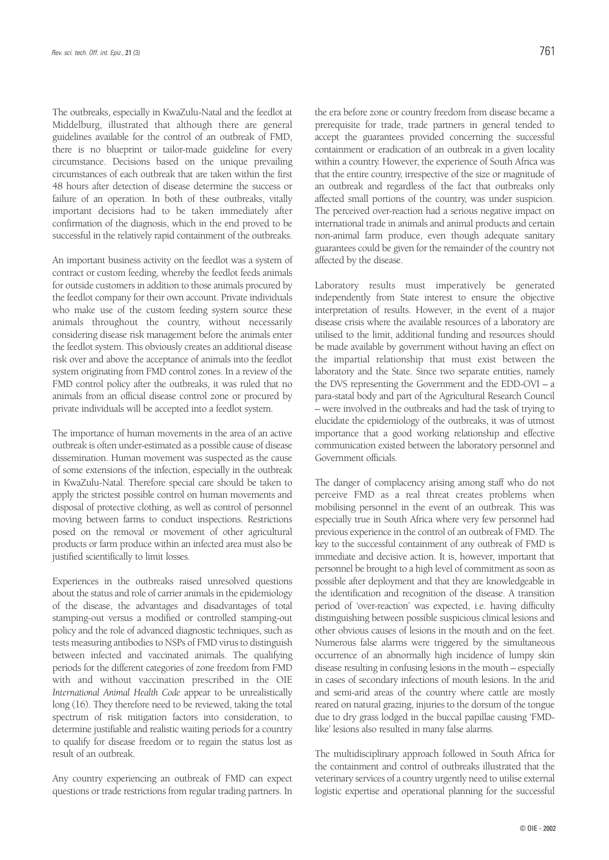The outbreaks, especially in KwaZulu-Natal and the feedlot at Middelburg, illustrated that although there are general guidelines available for the control of an outbreak of FMD, there is no blueprint or tailor-made guideline for every circumstance. Decisions based on the unique prevailing circumstances of each outbreak that are taken within the first 48 hours after detection of disease determine the success or failure of an operation. In both of these outbreaks, vitally important decisions had to be taken immediately after confirmation of the diagnosis, which in the end proved to be successful in the relatively rapid containment of the outbreaks.

An important business activity on the feedlot was a system of contract or custom feeding, whereby the feedlot feeds animals for outside customers in addition to those animals procured by the feedlot company for their own account. Private individuals who make use of the custom feeding system source these animals throughout the country, without necessarily considering disease risk management before the animals enter the feedlot system. This obviously creates an additional disease risk over and above the acceptance of animals into the feedlot system originating from FMD control zones. In a review of the FMD control policy after the outbreaks, it was ruled that no animals from an official disease control zone or procured by private individuals will be accepted into a feedlot system.

The importance of human movements in the area of an active outbreak is often under-estimated as a possible cause of disease dissemination. Human movement was suspected as the cause of some extensions of the infection, especially in the outbreak in KwaZulu-Natal. Therefore special care should be taken to apply the strictest possible control on human movements and disposal of protective clothing, as well as control of personnel moving between farms to conduct inspections. Restrictions posed on the removal or movement of other agricultural products or farm produce within an infected area must also be justified scientifically to limit losses.

Experiences in the outbreaks raised unresolved questions about the status and role of carrier animals in the epidemiology of the disease, the advantages and disadvantages of total stamping-out versus a modified or controlled stamping-out policy and the role of advanced diagnostic techniques, such as tests measuring antibodies to NSPs of FMD virus to distinguish between infected and vaccinated animals. The qualifying periods for the different categories of zone freedom from FMD with and without vaccination prescribed in the OIE *International Animal Health Code* appear to be unrealistically long (16). They therefore need to be reviewed, taking the total spectrum of risk mitigation factors into consideration, to determine justifiable and realistic waiting periods for a country to qualify for disease freedom or to regain the status lost as result of an outbreak.

Any country experiencing an outbreak of FMD can expect questions or trade restrictions from regular trading partners. In the era before zone or country freedom from disease became a prerequisite for trade, trade partners in general tended to accept the guarantees provided concerning the successful containment or eradication of an outbreak in a given locality within a country. However, the experience of South Africa was that the entire country, irrespective of the size or magnitude of an outbreak and regardless of the fact that outbreaks only affected small portions of the country, was under suspicion. The perceived over-reaction had a serious negative impact on international trade in animals and animal products and certain non-animal farm produce, even though adequate sanitary guarantees could be given for the remainder of the country not affected by the disease.

Laboratory results must imperatively be generated independently from State interest to ensure the objective interpretation of results. However, in the event of a major disease crisis where the available resources of a laboratory are utilised to the limit, additional funding and resources should be made available by government without having an effect on the impartial relationship that must exist between the laboratory and the State. Since two separate entities, namely the DVS representing the Government and the EDD-OVI – a para-statal body and part of the Agricultural Research Council – were involved in the outbreaks and had the task of trying to elucidate the epidemiology of the outbreaks, it was of utmost importance that a good working relationship and effective communication existed between the laboratory personnel and Government officials.

The danger of complacency arising among staff who do not perceive FMD as a real threat creates problems when mobilising personnel in the event of an outbreak. This was especially true in South Africa where very few personnel had previous experience in the control of an outbreak of FMD. The key to the successful containment of any outbreak of FMD is immediate and decisive action. It is, however, important that personnel be brought to a high level of commitment as soon as possible after deployment and that they are knowledgeable in the identification and recognition of the disease. A transition period of 'over-reaction' was expected, i.e. having difficulty distinguishing between possible suspicious clinical lesions and other obvious causes of lesions in the mouth and on the feet. Numerous false alarms were triggered by the simultaneous occurrence of an abnormally high incidence of lumpy skin disease resulting in confusing lesions in the mouth – especially in cases of secondary infections of mouth lesions. In the arid and semi-arid areas of the country where cattle are mostly reared on natural grazing, injuries to the dorsum of the tongue due to dry grass lodged in the buccal papillae causing 'FMDlike' lesions also resulted in many false alarms.

The multidisciplinary approach followed in South Africa for the containment and control of outbreaks illustrated that the veterinary services of a country urgently need to utilise external logistic expertise and operational planning for the successful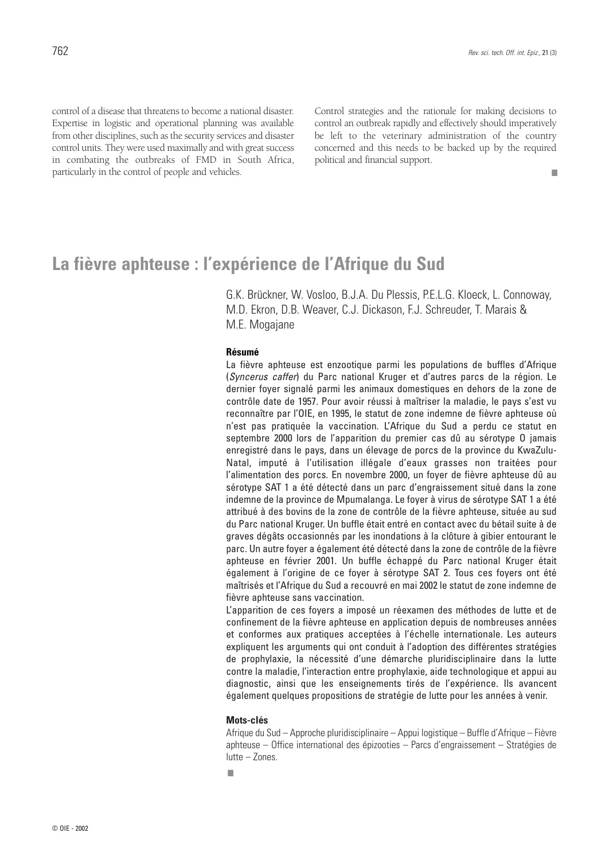■

control of a disease that threatens to become a national disaster. Expertise in logistic and operational planning was available from other disciplines, such as the security services and disaster control units. They were used maximally and with great success in combating the outbreaks of FMD in South Africa, particularly in the control of people and vehicles.

Control strategies and the rationale for making decisions to control an outbreak rapidly and effectively should imperatively be left to the veterinary administration of the country concerned and this needs to be backed up by the required political and financial support.

# **La fièvre aphteuse : l'expérience de l'Afrique du Sud**

G.K. Brückner, W. Vosloo, B.J.A. Du Plessis, P.E.L.G. Kloeck, L. Connoway, M.D. Ekron, D.B. Weaver, C.J. Dickason, F.J. Schreuder, T. Marais & M.E. Mogajane

#### **Résumé**

La fièvre aphteuse est enzootique parmi les populations de buffles d'Afrique (*Syncerus caffer*) du Parc national Kruger et d'autres parcs de la région. Le dernier foyer signalé parmi les animaux domestiques en dehors de la zone de contrôle date de 1957. Pour avoir réussi à maîtriser la maladie, le pays s'est vu reconnaître par l'OIE, en 1995, le statut de zone indemne de fièvre aphteuse où n'est pas pratiquée la vaccination. L'Afrique du Sud a perdu ce statut en septembre 2000 lors de l'apparition du premier cas dû au sérotype O jamais enregistré dans le pays, dans un élevage de porcs de la province du KwaZulu-Natal, imputé à l'utilisation illégale d'eaux grasses non traitées pour l'alimentation des porcs. En novembre 2000, un foyer de fièvre aphteuse dû au sérotype SAT 1 a été détecté dans un parc d'engraissement situé dans la zone indemne de la province de Mpumalanga. Le foyer à virus de sérotype SAT 1 a été attribué à des bovins de la zone de contrôle de la fièvre aphteuse, située au sud du Parc national Kruger. Un buffle était entré en contact avec du bétail suite à de graves dégâts occasionnés par les inondations à la clôture à gibier entourant le parc. Un autre foyer a également été détecté dans la zone de contrôle de la fièvre aphteuse en février 2001. Un buffle échappé du Parc national Kruger était également à l'origine de ce foyer à sérotype SAT 2. Tous ces foyers ont été maîtrisés et l'Afrique du Sud a recouvré en mai 2002 le statut de zone indemne de fièvre aphteuse sans vaccination.

L'apparition de ces foyers a imposé un réexamen des méthodes de lutte et de confinement de la fièvre aphteuse en application depuis de nombreuses années et conformes aux pratiques acceptées à l'échelle internationale. Les auteurs expliquent les arguments qui ont conduit à l'adoption des différentes stratégies de prophylaxie, la nécessité d'une démarche pluridisciplinaire dans la lutte contre la maladie, l'interaction entre prophylaxie, aide technologique et appui au diagnostic, ainsi que les enseignements tirés de l'expérience. Ils avancent également quelques propositions de stratégie de lutte pour les années à venir.

#### **Mots-clés**

Afrique du Sud – Approche pluridisciplinaire – Appui logistique – Buffle d'Afrique – Fièvre aphteuse – Office international des épizooties – Parcs d'engraissement – Stratégies de lutte – Zones.

■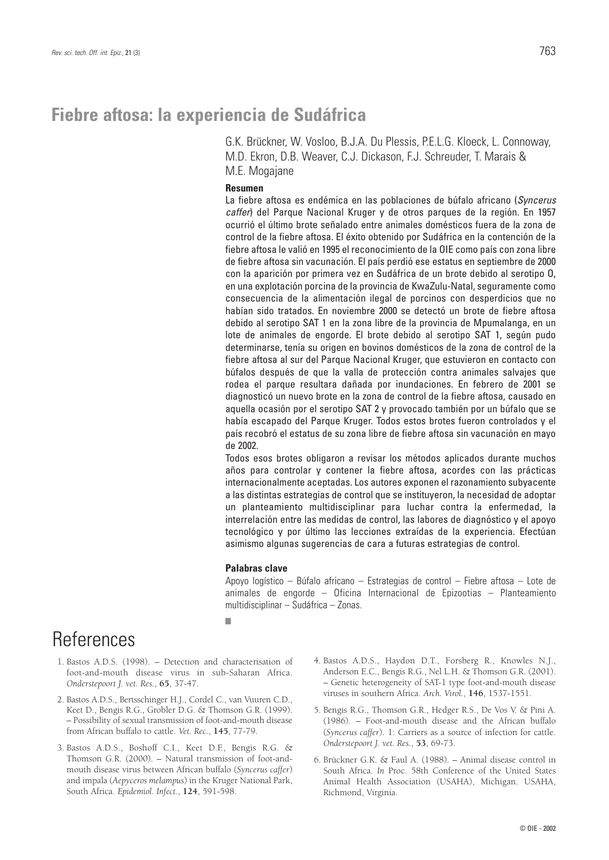## **Fiebre aftosa: la experiencia de Sudáfrica**

G.K. Brückner, W. Vosloo, B.J.A. Du Plessis, P.E.L.G. Kloeck, L. Connoway, M.D. Ekron, D.B. Weaver, C.J. Dickason, F.J. Schreuder, T. Marais & M.E. Mogajane

#### **Resumen**

La fiebre aftosa es endémica en las poblaciones de búfalo africano (*Syncerus caffer*) del Parque Nacional Kruger y de otros parques de la región. En 1957 ocurrió el último brote señalado entre animales domésticos fuera de la zona de control de la fiebre aftosa. El éxito obtenido por Sudáfrica en la contención de la fiebre aftosa le valió en 1995 el reconocimiento de la OIE como país con zona libre de fiebre aftosa sin vacunación. El país perdió ese estatus en septiembre de 2000 con la aparición por primera vez en Sudáfrica de un brote debido al serotipo O, en una explotación porcina de la provincia de KwaZulu-Natal, seguramente como consecuencia de la alimentación ilegal de porcinos con desperdicios que no habían sido tratados. En noviembre 2000 se detectó un brote de fiebre aftosa debido al serotipo SAT 1 en la zona libre de la provincia de Mpumalanga, en un lote de animales de engorde. El brote debido al serotipo SAT 1, según pudo determinarse, tenía su origen en bovinos domésticos de la zona de control de la fiebre aftosa al sur del Parque Nacional Kruger, que estuvieron en contacto con búfalos después de que la valla de protección contra animales salvajes que rodea el parque resultara dañada por inundaciones. En febrero de 2001 se diagnosticó un nuevo brote en la zona de control de la fiebre aftosa, causado en aquella ocasión por el serotipo SAT 2 y provocado también por un búfalo que se había escapado del Parque Kruger. Todos estos brotes fueron controlados y el país recobró el estatus de su zona libre de fiebre aftosa sin vacunación en mayo de 2002.

Todos esos brotes obligaron a revisar los métodos aplicados durante muchos años para controlar y contener la fiebre aftosa, acordes con las prácticas internacionalmente aceptadas. Los autores exponen el razonamiento subyacente a las distintas estrategias de control que se instituyeron, la necesidad de adoptar un planteamiento multidisciplinar para luchar contra la enfermedad, la interrelación entre las medidas de control, las labores de diagnóstico y el apoyo tecnológico y por último las lecciones extraídas de la experiencia. Efectúan asimismo algunas sugerencias de cara a futuras estrategias de control.

#### **Palabras clave**

Apoyo logístico – Búfalo africano – Estrategias de control – Fiebre aftosa – Lote de animales de engorde – Oficina Internacional de Epizootias – Planteamiento multidisciplinar – Sudáfrica – Zonas.

#### ■

# **References**

- 1. Bastos A.D.S. (1998). Detection and characterisation of foot-and-mouth disease virus in sub-Saharan Africa. *Onderstepoort J. vet. Res.*, **65**, 37-47.
- 2. Bastos A.D.S., Bertsschinger H.J., Cordel C., van Vuuren C.D., Keet D., Bengis R.G., Grobler D.G. & Thomson G.R. (1999). – Possibility of sexual transmission of foot-and-mouth disease from African buffalo to cattle. *Vet. Rec.*, **145**, 77-79.
- 3. Bastos A.D.S., Boshoff C.I., Keet D.F., Bengis R.G. & Thomson G.R. (2000). – Natural transmission of foot-andmouth disease virus between African buffalo (*Syncerus caffer*) and impala (*Aepyceros melampus*) in the Kruger National Park, South Africa. *Epidemiol. Infect.*, **124**, 591-598.
- 4. Bastos A.D.S., Haydon D.T., Forsberg R., Knowles N.J., Anderson E.C., Bengis R.G., Nel L.H. & Thomson G.R. (2001). – Genetic heterogeneity of SAT-1 type foot-and-mouth disease viruses in southern Africa. *Arch. Virol.*, **146**, 1537-1551.
- 5. Bengis R.G., Thomson G.R., Hedger R.S., De Vos V. & Pini A. (1986). – Foot-and-mouth disease and the African buffalo (*Syncerus caffer*). 1: Carriers as a source of infection for cattle. *Onderstepoort J. vet. Res.*, **53**, 69-73.
- 6. Brückner G.K. & Faul A. (1988). Animal disease control in South Africa. *In* Proc. 58th Conference of the United States Animal Health Association (USAHA), Michigan. USAHA, Richmond, Virginia.